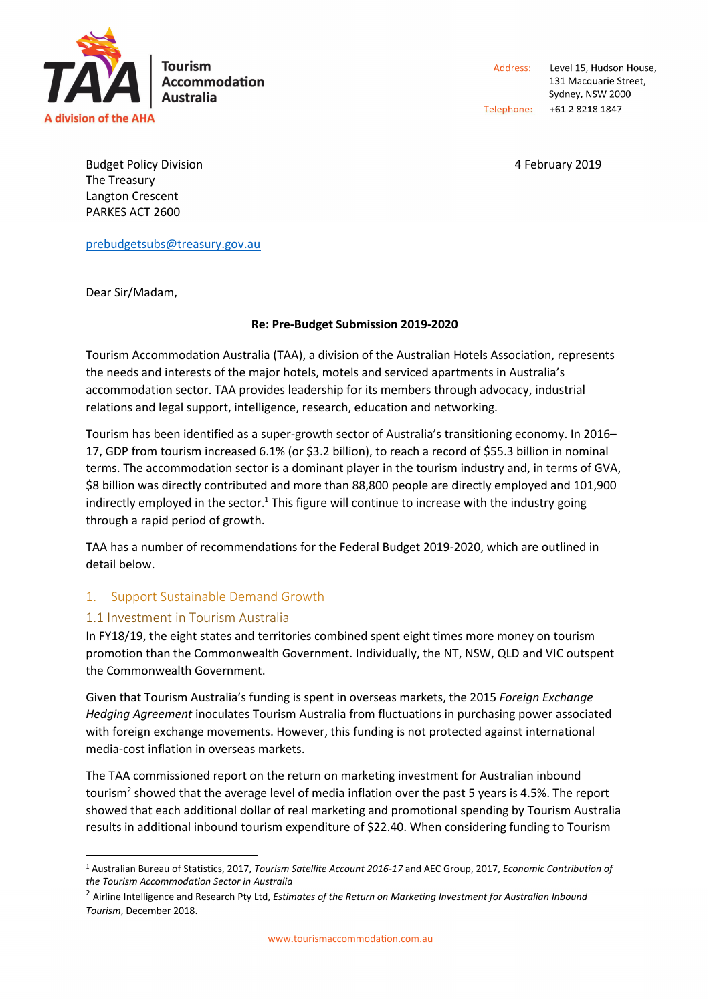

Address: Level 15, Hudson House, 131 Macquarie Street, Sydney, NSW 2000 Telephone: +61 2 8218 1847

Budget Policy Division **Accord 2019 4 February 2019** The Treasury Langton Crescent PARKES ACT 2600

prebudgetsubs@treasury.gov.au

Dear Sir/Madam,

#### **Re: Pre-Budget Submission 2019-2020**

Tourism Accommodation Australia (TAA), a division of the Australian Hotels Association, represents the needs and interests of the major hotels, motels and serviced apartments in Australia's accommodation sector. TAA provides leadership for its members through advocacy, industrial relations and legal support, intelligence, research, education and networking.

Tourism has been identified as a super-growth sector of Australia's transitioning economy. In 2016– 17, GDP from tourism increased 6.1% (or \$3.2 billion), to reach a record of \$55.3 billion in nominal terms. The accommodation sector is a dominant player in the tourism industry and, in terms of GVA, \$8 billion was directly contributed and more than 88,800 people are directly employed and 101,900 indirectly employed in the sector.<sup>1</sup> This figure will continue to increase with the industry going through a rapid period of growth.

TAA has a number of recommendations for the Federal Budget 2019-2020, which are outlined in detail below.

# 1. Support Sustainable Demand Growth

## 1.1 Investment in Tourism Australia

l

In FY18/19, the eight states and territories combined spent eight times more money on tourism promotion than the Commonwealth Government. Individually, the NT, NSW, QLD and VIC outspent the Commonwealth Government.

Given that Tourism Australia's funding is spent in overseas markets, the 2015 *Foreign Exchange Hedging Agreement* inoculates Tourism Australia from fluctuations in purchasing power associated with foreign exchange movements. However, this funding is not protected against international media-cost inflation in overseas markets.

The TAA commissioned report on the return on marketing investment for Australian inbound tourism<sup>2</sup> showed that the average level of media inflation over the past 5 years is 4.5%. The report showed that each additional dollar of real marketing and promotional spending by Tourism Australia results in additional inbound tourism expenditure of \$22.40. When considering funding to Tourism

<sup>1</sup> Australian Bureau of Statistics, 2017, *Tourism Satellite Account 2016-17* and AEC Group, 2017, *Economic Contribution of the Tourism Accommodation Sector in Australia*

<sup>2</sup> Airline Intelligence and Research Pty Ltd, *Estimates of the Return on Marketing Investment for Australian Inbound Tourism*, December 2018.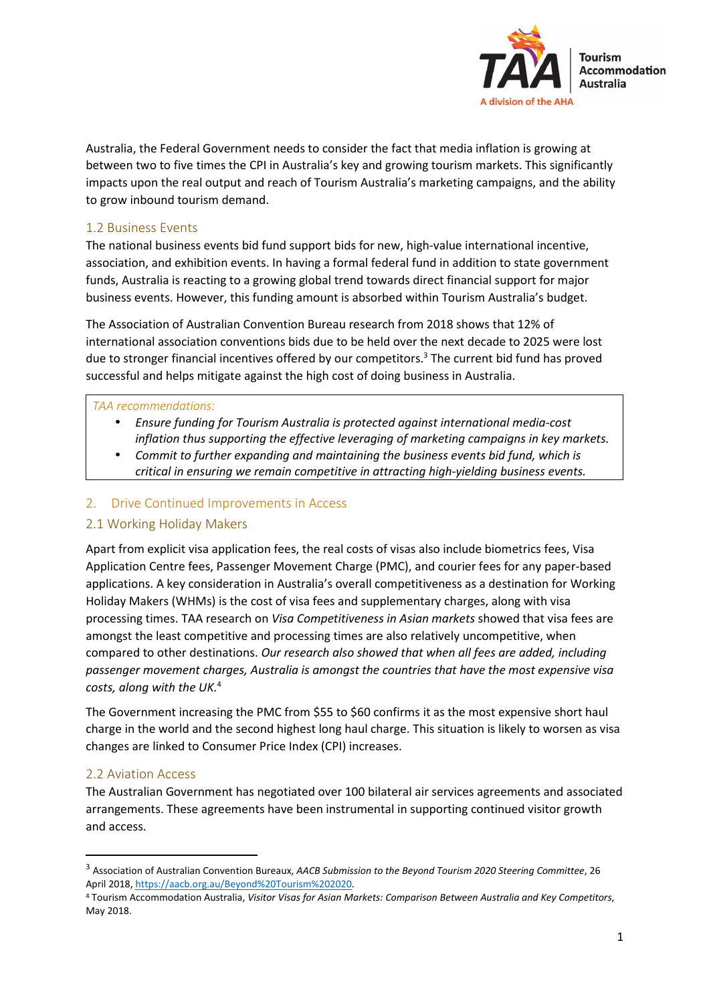

Australia, the Federal Government needs to consider the fact that media inflation is growing at between two to five times the CPI in Australia's key and growing tourism markets. This significantly impacts upon the real output and reach of Tourism Australia's marketing campaigns, and the ability to grow inbound tourism demand.

## 1.2 Business Events

The national business events bid fund support bids for new, high-value international incentive, association, and exhibition events. In having a formal federal fund in addition to state government funds, Australia is reacting to a growing global trend towards direct financial support for major business events. However, this funding amount is absorbed within Tourism Australia's budget.

The Association of Australian Convention Bureau research from 2018 shows that 12% of international association conventions bids due to be held over the next decade to 2025 were lost due to stronger financial incentives offered by our competitors.<sup>3</sup> The current bid fund has proved successful and helps mitigate against the high cost of doing business in Australia.

### *TAA recommendations:*

- *Ensure funding for Tourism Australia is protected against international media-cost inflation thus supporting the effective leveraging of marketing campaigns in key markets.*
- *Commit to further expanding and maintaining the business events bid fund, which is critical in ensuring we remain competitive in attracting high-yielding business events.*

## 2. Drive Continued Improvements in Access

## 2.1 Working Holiday Makers

Apart from explicit visa application fees, the real costs of visas also include biometrics fees, Visa Application Centre fees, Passenger Movement Charge (PMC), and courier fees for any paper-based applications. A key consideration in Australia's overall competitiveness as a destination for Working Holiday Makers (WHMs) is the cost of visa fees and supplementary charges, along with visa processing times. TAA research on *Visa Competitiveness in Asian markets* showed that visa fees are amongst the least competitive and processing times are also relatively uncompetitive, when compared to other destinations. *Our research also showed that when all fees are added, including passenger movement charges, Australia is amongst the countries that have the most expensive visa costs, along with the UK.*<sup>4</sup>

The Government increasing the PMC from \$55 to \$60 confirms it as the most expensive short haul charge in the world and the second highest long haul charge. This situation is likely to worsen as visa changes are linked to Consumer Price Index (CPI) increases.

## 2.2 Aviation Access

l

The Australian Government has negotiated over 100 bilateral air services agreements and associated arrangements. These agreements have been instrumental in supporting continued visitor growth and access.

<sup>3</sup> Association of Australian Convention Bureaux, *AACB Submission to the Beyond Tourism 2020 Steering Committee*, 26 April 2018, https://aacb.org.au/Beyond%20Tourism%202020.

<sup>4</sup> Tourism Accommodation Australia, *Visitor Visas for Asian Markets: Comparison Between Australia and Key Competitors*, May 2018.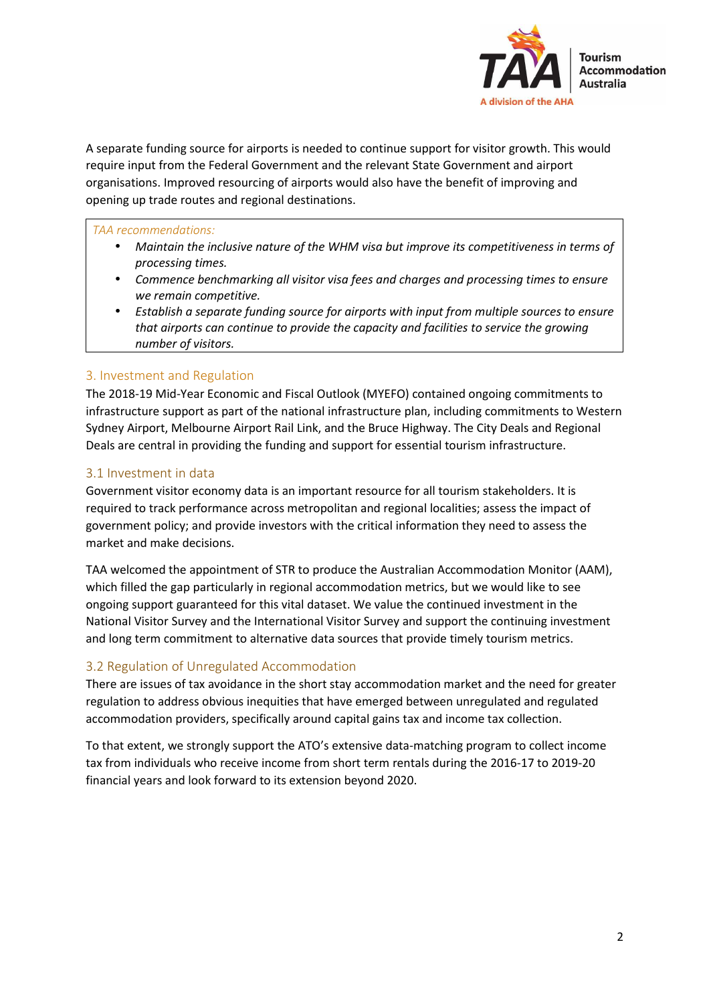

A separate funding source for airports is needed to continue support for visitor growth. This would require input from the Federal Government and the relevant State Government and airport organisations. Improved resourcing of airports would also have the benefit of improving and opening up trade routes and regional destinations.

#### *TAA recommendations:*

- *Maintain the inclusive nature of the WHM visa but improve its competitiveness in terms of processing times.*
- *Commence benchmarking all visitor visa fees and charges and processing times to ensure we remain competitive.*
- *Establish a separate funding source for airports with input from multiple sources to ensure that airports can continue to provide the capacity and facilities to service the growing number of visitors.*

### 3. Investment and Regulation

The 2018-19 Mid-Year Economic and Fiscal Outlook (MYEFO) contained ongoing commitments to infrastructure support as part of the national infrastructure plan, including commitments to Western Sydney Airport, Melbourne Airport Rail Link, and the Bruce Highway. The City Deals and Regional Deals are central in providing the funding and support for essential tourism infrastructure.

### 3.1 Investment in data

Government visitor economy data is an important resource for all tourism stakeholders. It is required to track performance across metropolitan and regional localities; assess the impact of government policy; and provide investors with the critical information they need to assess the market and make decisions.

TAA welcomed the appointment of STR to produce the Australian Accommodation Monitor (AAM), which filled the gap particularly in regional accommodation metrics, but we would like to see ongoing support guaranteed for this vital dataset. We value the continued investment in the National Visitor Survey and the International Visitor Survey and support the continuing investment and long term commitment to alternative data sources that provide timely tourism metrics.

#### 3.2 Regulation of Unregulated Accommodation

There are issues of tax avoidance in the short stay accommodation market and the need for greater regulation to address obvious inequities that have emerged between unregulated and regulated accommodation providers, specifically around capital gains tax and income tax collection.

To that extent, we strongly support the ATO's extensive data-matching program to collect income tax from individuals who receive income from short term rentals during the 2016-17 to 2019-20 financial years and look forward to its extension beyond 2020.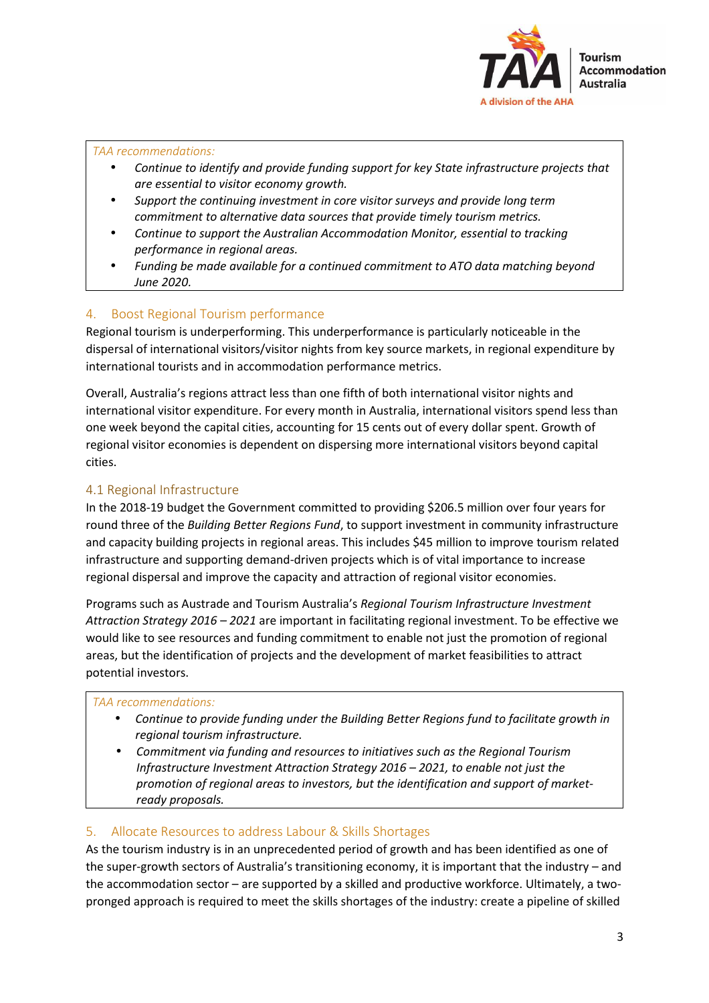

### *TAA recommendations:*

- *Continue to identify and provide funding support for key State infrastructure projects that are essential to visitor economy growth.*
- *Support the continuing investment in core visitor surveys and provide long term commitment to alternative data sources that provide timely tourism metrics.*
- *Continue to support the Australian Accommodation Monitor, essential to tracking performance in regional areas.*
- *Funding be made available for a continued commitment to ATO data matching beyond June 2020.*

# 4. Boost Regional Tourism performance

Regional tourism is underperforming. This underperformance is particularly noticeable in the dispersal of international visitors/visitor nights from key source markets, in regional expenditure by international tourists and in accommodation performance metrics.

Overall, Australia's regions attract less than one fifth of both international visitor nights and international visitor expenditure. For every month in Australia, international visitors spend less than one week beyond the capital cities, accounting for 15 cents out of every dollar spent. Growth of regional visitor economies is dependent on dispersing more international visitors beyond capital cities.

# 4.1 Regional Infrastructure

In the 2018-19 budget the Government committed to providing \$206.5 million over four years for round three of the *Building Better Regions Fund*, to support investment in community infrastructure and capacity building projects in regional areas. This includes \$45 million to improve tourism related infrastructure and supporting demand-driven projects which is of vital importance to increase regional dispersal and improve the capacity and attraction of regional visitor economies.

Programs such as Austrade and Tourism Australia's *Regional Tourism Infrastructure Investment Attraction Strategy 2016 – 2021* are important in facilitating regional investment. To be effective we would like to see resources and funding commitment to enable not just the promotion of regional areas, but the identification of projects and the development of market feasibilities to attract potential investors.

#### *TAA recommendations:*

- *Continue to provide funding under the Building Better Regions fund to facilitate growth in regional tourism infrastructure.*
- *Commitment via funding and resources to initiatives such as the Regional Tourism Infrastructure Investment Attraction Strategy 2016 – 2021, to enable not just the promotion of regional areas to investors, but the identification and support of marketready proposals.*

## 5. Allocate Resources to address Labour & Skills Shortages

As the tourism industry is in an unprecedented period of growth and has been identified as one of the super-growth sectors of Australia's transitioning economy, it is important that the industry – and the accommodation sector – are supported by a skilled and productive workforce. Ultimately, a twopronged approach is required to meet the skills shortages of the industry: create a pipeline of skilled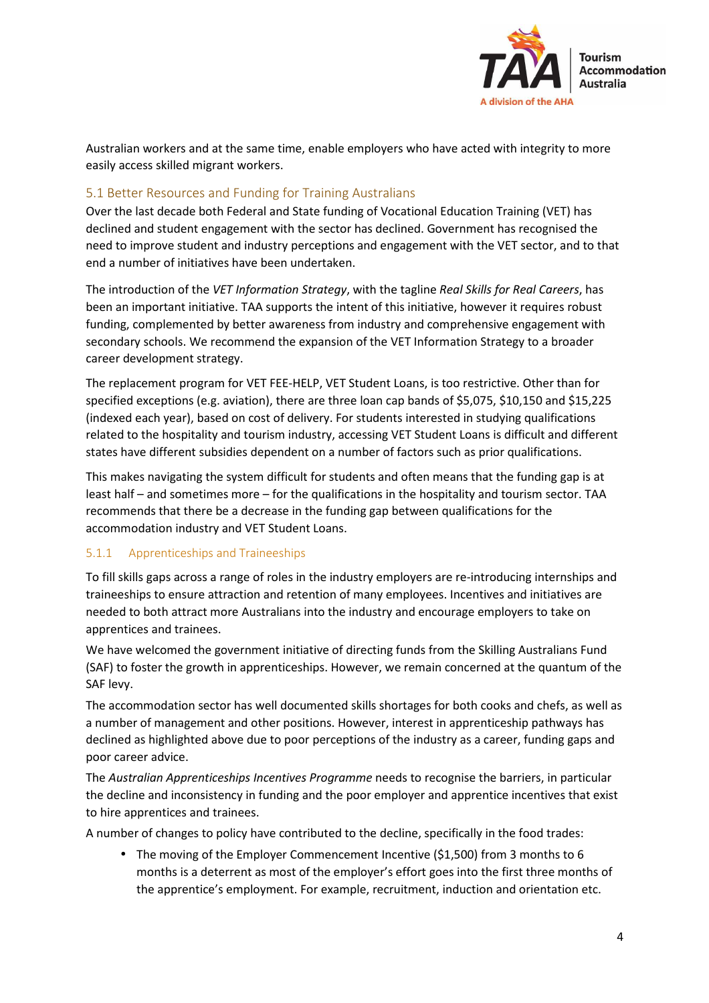

Australian workers and at the same time, enable employers who have acted with integrity to more easily access skilled migrant workers.

### 5.1 Better Resources and Funding for Training Australians

Over the last decade both Federal and State funding of Vocational Education Training (VET) has declined and student engagement with the sector has declined. Government has recognised the need to improve student and industry perceptions and engagement with the VET sector, and to that end a number of initiatives have been undertaken.

The introduction of the *VET Information Strategy*, with the tagline *Real Skills for Real Careers*, has been an important initiative. TAA supports the intent of this initiative, however it requires robust funding, complemented by better awareness from industry and comprehensive engagement with secondary schools. We recommend the expansion of the VET Information Strategy to a broader career development strategy.

The replacement program for VET FEE-HELP, VET Student Loans, is too restrictive. Other than for specified exceptions (e.g. aviation), there are three loan cap bands of \$5,075, \$10,150 and \$15,225 (indexed each year), based on cost of delivery. For students interested in studying qualifications related to the hospitality and tourism industry, accessing VET Student Loans is difficult and different states have different subsidies dependent on a number of factors such as prior qualifications.

This makes navigating the system difficult for students and often means that the funding gap is at least half – and sometimes more – for the qualifications in the hospitality and tourism sector. TAA recommends that there be a decrease in the funding gap between qualifications for the accommodation industry and VET Student Loans.

## 5.1.1 Apprenticeships and Traineeships

To fill skills gaps across a range of roles in the industry employers are re-introducing internships and traineeships to ensure attraction and retention of many employees. Incentives and initiatives are needed to both attract more Australians into the industry and encourage employers to take on apprentices and trainees.

We have welcomed the government initiative of directing funds from the Skilling Australians Fund (SAF) to foster the growth in apprenticeships. However, we remain concerned at the quantum of the SAF levy.

The accommodation sector has well documented skills shortages for both cooks and chefs, as well as a number of management and other positions. However, interest in apprenticeship pathways has declined as highlighted above due to poor perceptions of the industry as a career, funding gaps and poor career advice.

The *Australian Apprenticeships Incentives Programme* needs to recognise the barriers, in particular the decline and inconsistency in funding and the poor employer and apprentice incentives that exist to hire apprentices and trainees.

A number of changes to policy have contributed to the decline, specifically in the food trades:

• The moving of the Employer Commencement Incentive (\$1,500) from 3 months to 6 months is a deterrent as most of the employer's effort goes into the first three months of the apprentice's employment. For example, recruitment, induction and orientation etc.